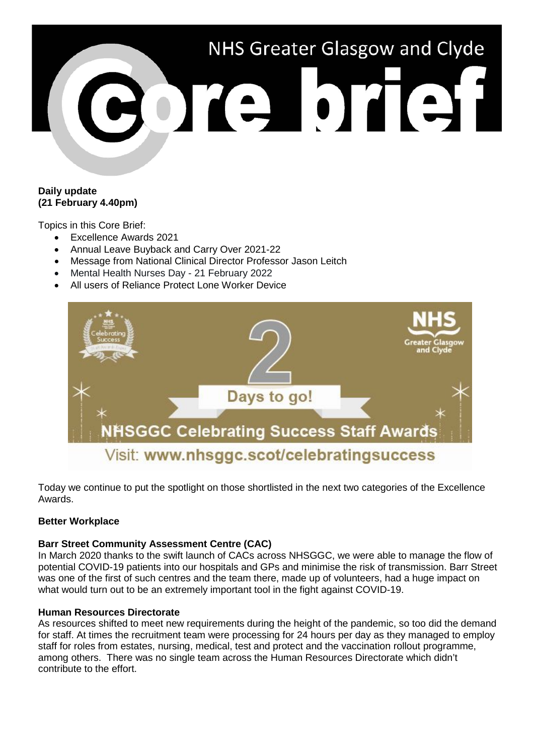

## **Daily update (21 February 4.40pm)**

Topics in this Core Brief:

- Excellence Awards 2021
- Annual Leave Buyback and Carry Over 2021-22
- Message from National Clinical Director Professor Jason Leitch
- Mental Health Nurses Day 21 February 2022
- All users of Reliance Protect Lone Worker Device



Today we continue to put the spotlight on those shortlisted in the next two categories of the Excellence Awards.

## **Better Workplace**

## **Barr Street Community Assessment Centre (CAC)**

In March 2020 thanks to the swift launch of CACs across NHSGGC, we were able to manage the flow of potential COVID-19 patients into our hospitals and GPs and minimise the risk of transmission. Barr Street was one of the first of such centres and the team there, made up of volunteers, had a huge impact on what would turn out to be an extremely important tool in the fight against COVID-19.

## **Human Resources Directorate**

As resources shifted to meet new requirements during the height of the pandemic, so too did the demand for staff. At times the recruitment team were processing for 24 hours per day as they managed to employ staff for roles from estates, nursing, medical, test and protect and the vaccination rollout programme, among others. There was no single team across the Human Resources Directorate which didn't contribute to the effort.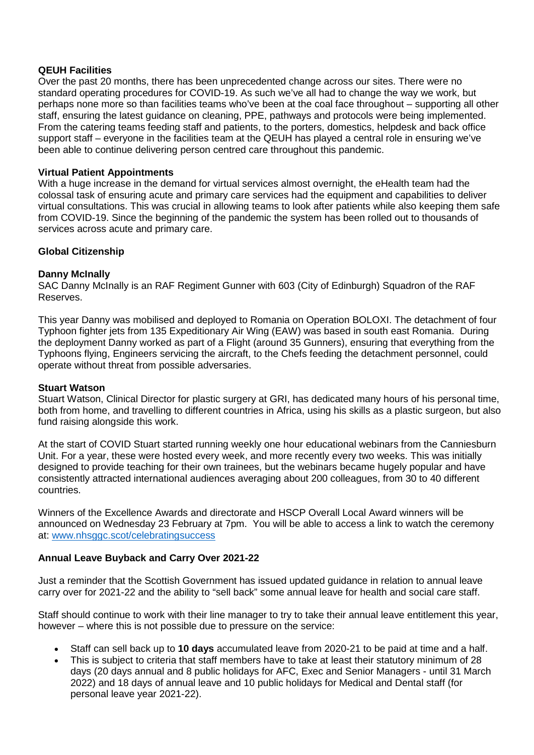## **QEUH Facilities**

Over the past 20 months, there has been unprecedented change across our sites. There were no standard operating procedures for COVID-19. As such we've all had to change the way we work, but perhaps none more so than facilities teams who've been at the coal face throughout – supporting all other staff, ensuring the latest guidance on cleaning, PPE, pathways and protocols were being implemented. From the catering teams feeding staff and patients, to the porters, domestics, helpdesk and back office support staff – everyone in the facilities team at the QEUH has played a central role in ensuring we've been able to continue delivering person centred care throughout this pandemic.

## **Virtual Patient Appointments**

With a huge increase in the demand for virtual services almost overnight, the eHealth team had the colossal task of ensuring acute and primary care services had the equipment and capabilities to deliver virtual consultations. This was crucial in allowing teams to look after patients while also keeping them safe from COVID-19. Since the beginning of the pandemic the system has been rolled out to thousands of services across acute and primary care.

## **Global Citizenship**

## **Danny McInally**

SAC Danny McInally is an RAF Regiment Gunner with 603 (City of Edinburgh) Squadron of the RAF Reserves.

This year Danny was mobilised and deployed to Romania on Operation BOLOXI. The detachment of four Typhoon fighter jets from 135 Expeditionary Air Wing (EAW) was based in south east Romania. During the deployment Danny worked as part of a Flight (around 35 Gunners), ensuring that everything from the Typhoons flying, Engineers servicing the aircraft, to the Chefs feeding the detachment personnel, could operate without threat from possible adversaries.

## **Stuart Watson**

Stuart Watson, Clinical Director for plastic surgery at GRI, has dedicated many hours of his personal time, both from home, and travelling to different countries in Africa, using his skills as a plastic surgeon, but also fund raising alongside this work.

At the start of COVID Stuart started running weekly one hour educational webinars from the Canniesburn Unit. For a year, these were hosted every week, and more recently every two weeks. This was initially designed to provide teaching for their own trainees, but the webinars became hugely popular and have consistently attracted international audiences averaging about 200 colleagues, from 30 to 40 different countries.

Winners of the Excellence Awards and directorate and HSCP Overall Local Award winners will be announced on Wednesday 23 February at 7pm. You will be able to access a link to watch the ceremony at: [www.nhsggc.scot/celebratingsuccess](http://www.nhsggc.scot/celebratingsuccess)

## **Annual Leave Buyback and Carry Over 2021-22**

Just a reminder that the Scottish Government has issued updated guidance in relation to annual leave carry over for 2021-22 and the ability to "sell back" some annual leave for health and social care staff.

Staff should continue to work with their line manager to try to take their annual leave entitlement this year, however – where this is not possible due to pressure on the service:

- Staff can sell back up to **10 days** accumulated leave from 2020-21 to be paid at time and a half.
- This is subject to criteria that staff members have to take at least their statutory minimum of 28 days (20 days annual and 8 public holidays for AFC, Exec and Senior Managers - until 31 March 2022) and 18 days of annual leave and 10 public holidays for Medical and Dental staff (for personal leave year 2021-22).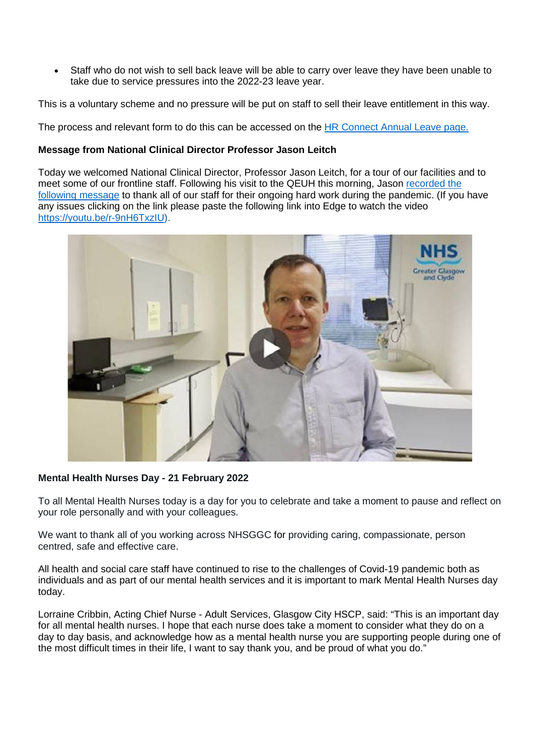• Staff who do not wish to sell back leave will be able to carry over leave they have been unable to take due to service pressures into the 2022-23 leave year.

This is a voluntary scheme and no pressure will be put on staff to sell their leave entitlement in this way.

The process and relevant form to do this can be accessed on the [HR Connect Annual Leave page.](https://www.nhsggc.org.uk/working-with-us/hr-connect/policies-and-staff-governance/policies/annual-leave-overview/annual-leave-buy-back-and-carry-over-2021-22/)

#### **Message from National Clinical Director Professor Jason Leitch**

Today we welcomed National Clinical Director, Professor Jason Leitch, for a tour of our facilities and to meet some of our frontline staff. Following his visit to the QEUH this morning, Jason [recorded the](https://youtu.be/r-9nH6TxzIU)  [following message](https://youtu.be/r-9nH6TxzIU) to thank all of our staff for their ongoing hard work during the pandemic. (If you have any issues clicking on the link please paste the following link into Edge to watch the video [https://youtu.be/r-9nH6TxzIU\)](https://youtu.be/r-9nH6TxzIU).



## **Mental Health Nurses Day - 21 February 2022**

To all Mental Health Nurses today is a day for you to celebrate and take a moment to pause and reflect on your role personally and with your colleagues.

We want to thank all of you working across NHSGGC for providing caring, compassionate, person centred, safe and effective care.

All health and social care staff have continued to rise to the challenges of Covid-19 pandemic both as individuals and as part of our mental health services and it is important to mark Mental Health Nurses day today.

Lorraine Cribbin, Acting Chief Nurse - Adult Services, Glasgow City HSCP, said: "This is an important day for all mental health nurses. I hope that each nurse does take a moment to consider what they do on a day to day basis, and acknowledge how as a mental health nurse you are supporting people during one of the most difficult times in their life, I want to say thank you, and be proud of what you do."